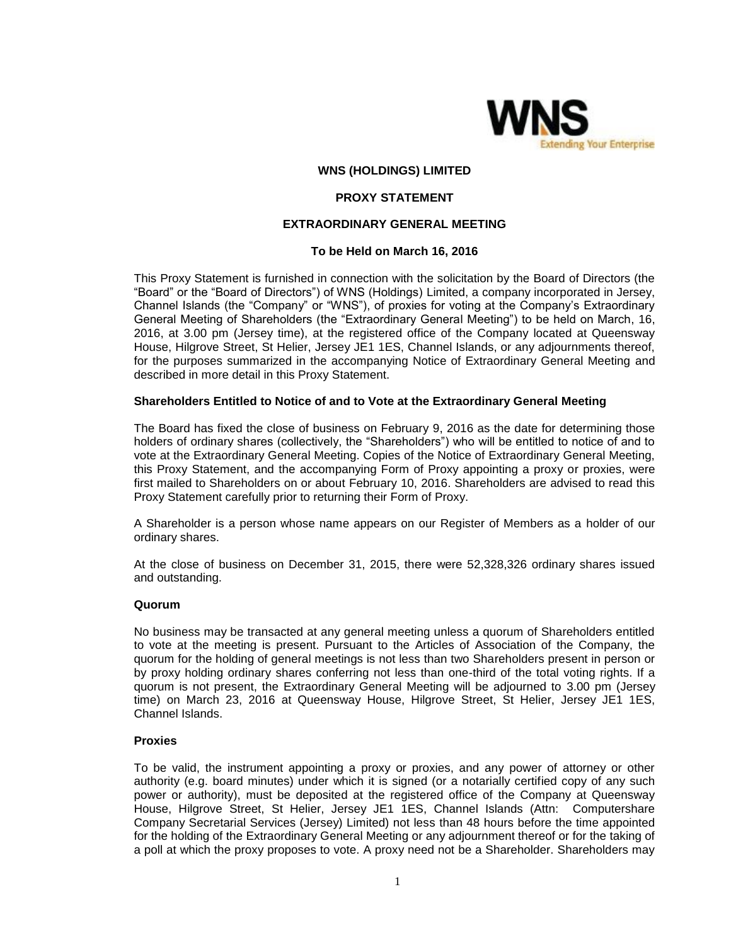

#### **WNS (HOLDINGS) LIMITED**

# **PROXY STATEMENT**

## **EXTRAORDINARY GENERAL MEETING**

#### **To be Held on March 16, 2016**

This Proxy Statement is furnished in connection with the solicitation by the Board of Directors (the "Board" or the "Board of Directors") of WNS (Holdings) Limited, a company incorporated in Jersey, Channel Islands (the "Company" or "WNS"), of proxies for voting at the Company's Extraordinary General Meeting of Shareholders (the "Extraordinary General Meeting") to be held on March, 16, 2016, at 3.00 pm (Jersey time), at the registered office of the Company located at Queensway House, Hilgrove Street, St Helier, Jersey JE1 1ES, Channel Islands, or any adjournments thereof, for the purposes summarized in the accompanying Notice of Extraordinary General Meeting and described in more detail in this Proxy Statement.

#### **Shareholders Entitled to Notice of and to Vote at the Extraordinary General Meeting**

The Board has fixed the close of business on February 9, 2016 as the date for determining those holders of ordinary shares (collectively, the "Shareholders") who will be entitled to notice of and to vote at the Extraordinary General Meeting. Copies of the Notice of Extraordinary General Meeting, this Proxy Statement, and the accompanying Form of Proxy appointing a proxy or proxies, were first mailed to Shareholders on or about February 10, 2016. Shareholders are advised to read this Proxy Statement carefully prior to returning their Form of Proxy.

A Shareholder is a person whose name appears on our Register of Members as a holder of our ordinary shares.

At the close of business on December 31, 2015, there were 52,328,326 ordinary shares issued and outstanding.

#### **Quorum**

No business may be transacted at any general meeting unless a quorum of Shareholders entitled to vote at the meeting is present. Pursuant to the Articles of Association of the Company, the quorum for the holding of general meetings is not less than two Shareholders present in person or by proxy holding ordinary shares conferring not less than one-third of the total voting rights. If a quorum is not present, the Extraordinary General Meeting will be adjourned to 3.00 pm (Jersey time) on March 23, 2016 at Queensway House, Hilgrove Street, St Helier, Jersey JE1 1ES, Channel Islands.

#### **Proxies**

To be valid, the instrument appointing a proxy or proxies, and any power of attorney or other authority (e.g. board minutes) under which it is signed (or a notarially certified copy of any such power or authority), must be deposited at the registered office of the Company at Queensway House, Hilgrove Street, St Helier, Jersey JE1 1ES, Channel Islands (Attn: Computershare Company Secretarial Services (Jersey) Limited) not less than 48 hours before the time appointed for the holding of the Extraordinary General Meeting or any adjournment thereof or for the taking of a poll at which the proxy proposes to vote. A proxy need not be a Shareholder. Shareholders may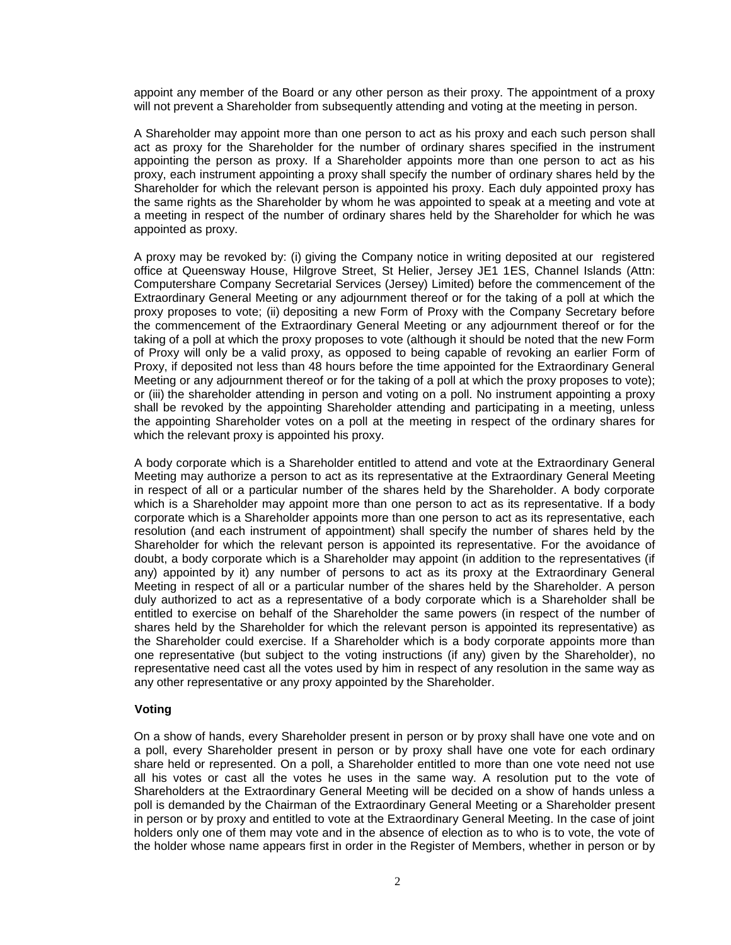appoint any member of the Board or any other person as their proxy. The appointment of a proxy will not prevent a Shareholder from subsequently attending and voting at the meeting in person.

A Shareholder may appoint more than one person to act as his proxy and each such person shall act as proxy for the Shareholder for the number of ordinary shares specified in the instrument appointing the person as proxy. If a Shareholder appoints more than one person to act as his proxy, each instrument appointing a proxy shall specify the number of ordinary shares held by the Shareholder for which the relevant person is appointed his proxy. Each duly appointed proxy has the same rights as the Shareholder by whom he was appointed to speak at a meeting and vote at a meeting in respect of the number of ordinary shares held by the Shareholder for which he was appointed as proxy.

A proxy may be revoked by: (i) giving the Company notice in writing deposited at our registered office at Queensway House, Hilgrove Street, St Helier, Jersey JE1 1ES, Channel Islands (Attn: Computershare Company Secretarial Services (Jersey) Limited) before the commencement of the Extraordinary General Meeting or any adjournment thereof or for the taking of a poll at which the proxy proposes to vote; (ii) depositing a new Form of Proxy with the Company Secretary before the commencement of the Extraordinary General Meeting or any adjournment thereof or for the taking of a poll at which the proxy proposes to vote (although it should be noted that the new Form of Proxy will only be a valid proxy, as opposed to being capable of revoking an earlier Form of Proxy, if deposited not less than 48 hours before the time appointed for the Extraordinary General Meeting or any adjournment thereof or for the taking of a poll at which the proxy proposes to vote); or (iii) the shareholder attending in person and voting on a poll. No instrument appointing a proxy shall be revoked by the appointing Shareholder attending and participating in a meeting, unless the appointing Shareholder votes on a poll at the meeting in respect of the ordinary shares for which the relevant proxy is appointed his proxy.

A body corporate which is a Shareholder entitled to attend and vote at the Extraordinary General Meeting may authorize a person to act as its representative at the Extraordinary General Meeting in respect of all or a particular number of the shares held by the Shareholder. A body corporate which is a Shareholder may appoint more than one person to act as its representative. If a body corporate which is a Shareholder appoints more than one person to act as its representative, each resolution (and each instrument of appointment) shall specify the number of shares held by the Shareholder for which the relevant person is appointed its representative. For the avoidance of doubt, a body corporate which is a Shareholder may appoint (in addition to the representatives (if any) appointed by it) any number of persons to act as its proxy at the Extraordinary General Meeting in respect of all or a particular number of the shares held by the Shareholder. A person duly authorized to act as a representative of a body corporate which is a Shareholder shall be entitled to exercise on behalf of the Shareholder the same powers (in respect of the number of shares held by the Shareholder for which the relevant person is appointed its representative) as the Shareholder could exercise. If a Shareholder which is a body corporate appoints more than one representative (but subject to the voting instructions (if any) given by the Shareholder), no representative need cast all the votes used by him in respect of any resolution in the same way as any other representative or any proxy appointed by the Shareholder.

#### **Voting**

On a show of hands, every Shareholder present in person or by proxy shall have one vote and on a poll, every Shareholder present in person or by proxy shall have one vote for each ordinary share held or represented. On a poll, a Shareholder entitled to more than one vote need not use all his votes or cast all the votes he uses in the same way. A resolution put to the vote of Shareholders at the Extraordinary General Meeting will be decided on a show of hands unless a poll is demanded by the Chairman of the Extraordinary General Meeting or a Shareholder present in person or by proxy and entitled to vote at the Extraordinary General Meeting. In the case of joint holders only one of them may vote and in the absence of election as to who is to vote, the vote of the holder whose name appears first in order in the Register of Members, whether in person or by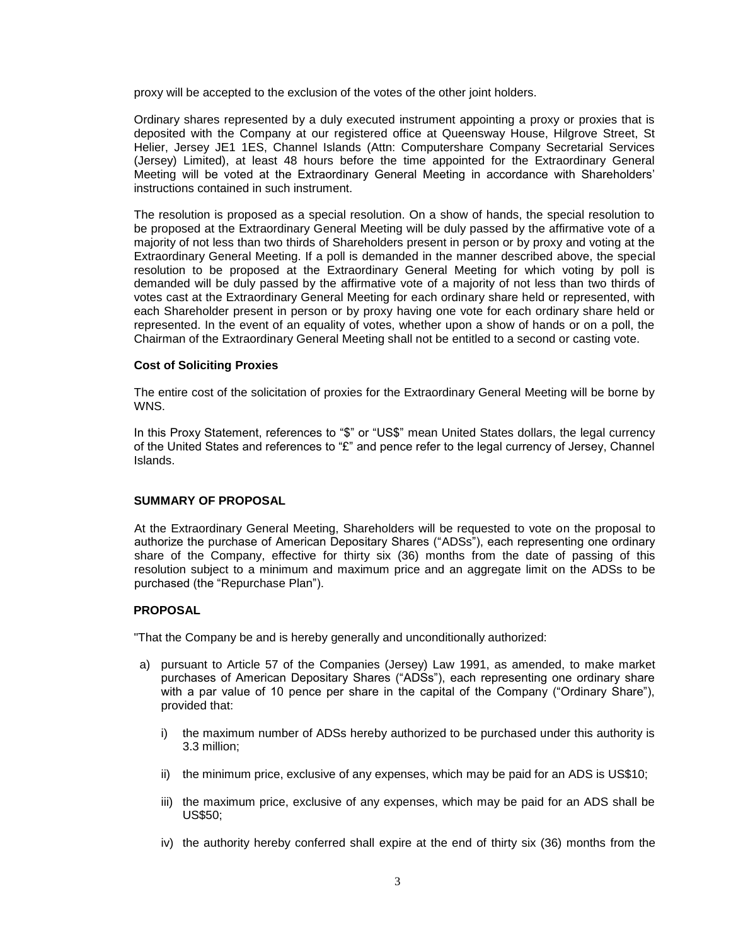proxy will be accepted to the exclusion of the votes of the other joint holders.

Ordinary shares represented by a duly executed instrument appointing a proxy or proxies that is deposited with the Company at our registered office at Queensway House, Hilgrove Street, St Helier, Jersey JE1 1ES, Channel Islands (Attn: Computershare Company Secretarial Services (Jersey) Limited), at least 48 hours before the time appointed for the Extraordinary General Meeting will be voted at the Extraordinary General Meeting in accordance with Shareholders' instructions contained in such instrument.

The resolution is proposed as a special resolution. On a show of hands, the special resolution to be proposed at the Extraordinary General Meeting will be duly passed by the affirmative vote of a majority of not less than two thirds of Shareholders present in person or by proxy and voting at the Extraordinary General Meeting. If a poll is demanded in the manner described above, the special resolution to be proposed at the Extraordinary General Meeting for which voting by poll is demanded will be duly passed by the affirmative vote of a majority of not less than two thirds of votes cast at the Extraordinary General Meeting for each ordinary share held or represented, with each Shareholder present in person or by proxy having one vote for each ordinary share held or represented. In the event of an equality of votes, whether upon a show of hands or on a poll, the Chairman of the Extraordinary General Meeting shall not be entitled to a second or casting vote.

## **Cost of Soliciting Proxies**

The entire cost of the solicitation of proxies for the Extraordinary General Meeting will be borne by WNS.

In this Proxy Statement, references to "\$" or "US\$" mean United States dollars, the legal currency of the United States and references to "£" and pence refer to the legal currency of Jersey, Channel Islands.

## **SUMMARY OF PROPOSAL**

At the Extraordinary General Meeting, Shareholders will be requested to vote on the proposal to authorize the purchase of American Depositary Shares ("ADSs"), each representing one ordinary share of the Company, effective for thirty six (36) months from the date of passing of this resolution subject to a minimum and maximum price and an aggregate limit on the ADSs to be purchased (the "Repurchase Plan").

# **PROPOSAL**

"That the Company be and is hereby generally and unconditionally authorized:

- a) pursuant to Article 57 of the Companies (Jersey) Law 1991, as amended, to make market purchases of American Depositary Shares ("ADSs"), each representing one ordinary share with a par value of 10 pence per share in the capital of the Company ("Ordinary Share"), provided that:
	- i) the maximum number of ADSs hereby authorized to be purchased under this authority is 3.3 million;
	- ii) the minimum price, exclusive of any expenses, which may be paid for an ADS is US\$10;
	- iii) the maximum price, exclusive of any expenses, which may be paid for an ADS shall be US\$50;
	- iv) the authority hereby conferred shall expire at the end of thirty six (36) months from the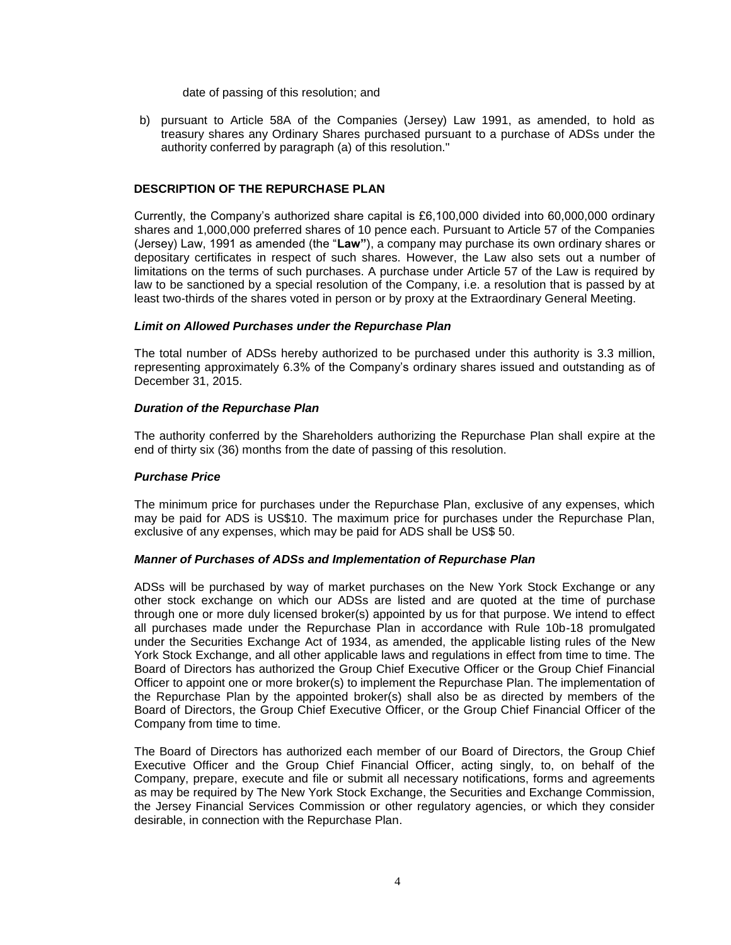date of passing of this resolution; and

b) pursuant to Article 58A of the Companies (Jersey) Law 1991, as amended, to hold as treasury shares any Ordinary Shares purchased pursuant to a purchase of ADSs under the authority conferred by paragraph (a) of this resolution."

## **DESCRIPTION OF THE REPURCHASE PLAN**

Currently, the Company's authorized share capital is £6,100,000 divided into 60,000,000 ordinary shares and 1,000,000 preferred shares of 10 pence each. Pursuant to Article 57 of the Companies (Jersey) Law, 1991 as amended (the "**Law"**), a company may purchase its own ordinary shares or depositary certificates in respect of such shares. However, the Law also sets out a number of limitations on the terms of such purchases. A purchase under Article 57 of the Law is required by law to be sanctioned by a special resolution of the Company, i.e. a resolution that is passed by at least two-thirds of the shares voted in person or by proxy at the Extraordinary General Meeting.

## *Limit on Allowed Purchases under the Repurchase Plan*

The total number of ADSs hereby authorized to be purchased under this authority is 3.3 million, representing approximately 6.3% of the Company's ordinary shares issued and outstanding as of December 31, 2015.

# *Duration of the Repurchase Plan*

The authority conferred by the Shareholders authorizing the Repurchase Plan shall expire at the end of thirty six (36) months from the date of passing of this resolution.

## *Purchase Price*

The minimum price for purchases under the Repurchase Plan, exclusive of any expenses, which may be paid for ADS is US\$10. The maximum price for purchases under the Repurchase Plan, exclusive of any expenses, which may be paid for ADS shall be US\$ 50.

## *Manner of Purchases of ADSs and Implementation of Repurchase Plan*

ADSs will be purchased by way of market purchases on the New York Stock Exchange or any other stock exchange on which our ADSs are listed and are quoted at the time of purchase through one or more duly licensed broker(s) appointed by us for that purpose. We intend to effect all purchases made under the Repurchase Plan in accordance with Rule 10b-18 promulgated under the Securities Exchange Act of 1934, as amended, the applicable listing rules of the New York Stock Exchange, and all other applicable laws and regulations in effect from time to time. The Board of Directors has authorized the Group Chief Executive Officer or the Group Chief Financial Officer to appoint one or more broker(s) to implement the Repurchase Plan. The implementation of the Repurchase Plan by the appointed broker(s) shall also be as directed by members of the Board of Directors, the Group Chief Executive Officer, or the Group Chief Financial Officer of the Company from time to time.

The Board of Directors has authorized each member of our Board of Directors, the Group Chief Executive Officer and the Group Chief Financial Officer, acting singly, to, on behalf of the Company, prepare, execute and file or submit all necessary notifications, forms and agreements as may be required by The New York Stock Exchange, the Securities and Exchange Commission, the Jersey Financial Services Commission or other regulatory agencies, or which they consider desirable, in connection with the Repurchase Plan.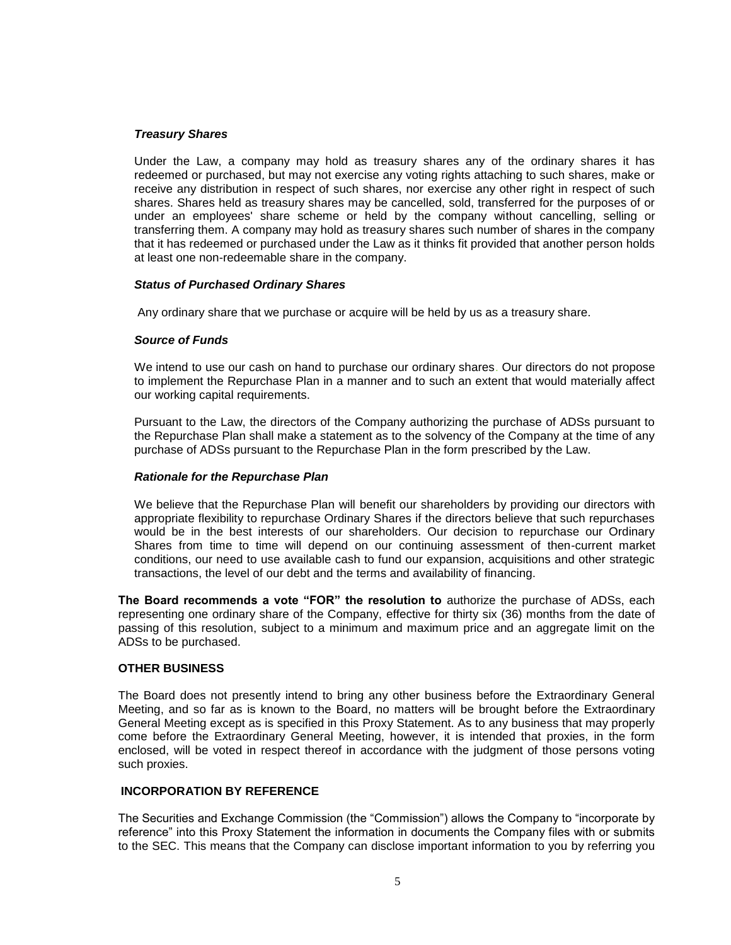#### *Treasury Shares*

Under the Law, a company may hold as treasury shares any of the ordinary shares it has redeemed or purchased, but may not exercise any voting rights attaching to such shares, make or receive any distribution in respect of such shares, nor exercise any other right in respect of such shares. Shares held as treasury shares may be cancelled, sold, transferred for the purposes of or under an employees' share scheme or held by the company without cancelling, selling or transferring them. A company may hold as treasury shares such number of shares in the company that it has redeemed or purchased under the Law as it thinks fit provided that another person holds at least one non-redeemable share in the company.

#### *Status of Purchased Ordinary Shares*

Any ordinary share that we purchase or acquire will be held by us as a treasury share.

#### *Source of Funds*

We intend to use our cash on hand to purchase our ordinary shares. Our directors do not propose to implement the Repurchase Plan in a manner and to such an extent that would materially affect our working capital requirements.

Pursuant to the Law, the directors of the Company authorizing the purchase of ADSs pursuant to the Repurchase Plan shall make a statement as to the solvency of the Company at the time of any purchase of ADSs pursuant to the Repurchase Plan in the form prescribed by the Law.

#### *Rationale for the Repurchase Plan*

We believe that the Repurchase Plan will benefit our shareholders by providing our directors with appropriate flexibility to repurchase Ordinary Shares if the directors believe that such repurchases would be in the best interests of our shareholders. Our decision to repurchase our Ordinary Shares from time to time will depend on our continuing assessment of then-current market conditions, our need to use available cash to fund our expansion, acquisitions and other strategic transactions, the level of our debt and the terms and availability of financing.

**The Board recommends a vote "FOR" the resolution to** authorize the purchase of ADSs, each representing one ordinary share of the Company, effective for thirty six (36) months from the date of passing of this resolution, subject to a minimum and maximum price and an aggregate limit on the ADSs to be purchased.

# **OTHER BUSINESS**

The Board does not presently intend to bring any other business before the Extraordinary General Meeting, and so far as is known to the Board, no matters will be brought before the Extraordinary General Meeting except as is specified in this Proxy Statement. As to any business that may properly come before the Extraordinary General Meeting, however, it is intended that proxies, in the form enclosed, will be voted in respect thereof in accordance with the judgment of those persons voting such proxies.

## **INCORPORATION BY REFERENCE**

The Securities and Exchange Commission (the "Commission") allows the Company to "incorporate by reference" into this Proxy Statement the information in documents the Company files with or submits to the SEC. This means that the Company can disclose important information to you by referring you